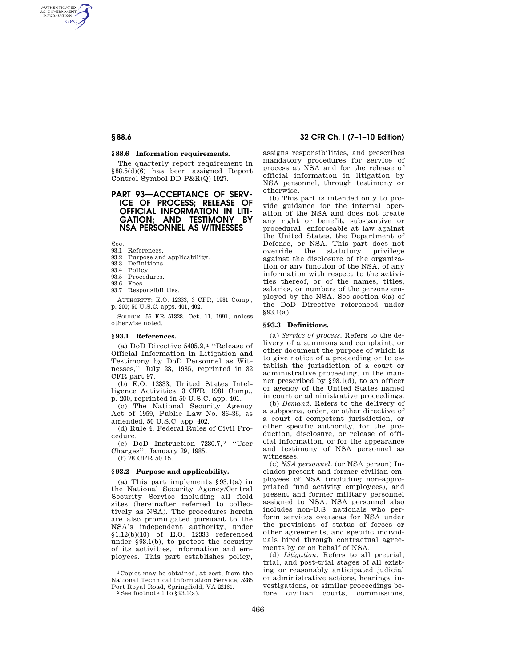### **§ 88.6 Information requirements.**

The quarterly report requirement in §88.5(d)(6) has been assigned Report Control Symbol DD-P&R(Q) 1927.

# **PART 93—ACCEPTANCE OF SERV-ICE OF PROCESS; RELEASE OF OFFICIAL INFORMATION IN LITI-GATION; AND TESTIMONY BY NSA PERSONNEL AS WITNESSES**

Sec.

AUTHENTICATED<br>U.S. GOVERNMENT<br>INFORMATION **GPO** 

# 93.1 References.

- 93.2 Purpose and applicability. 93.3 Definitions.
- 93.4 Policy.
- 93.5 Procedures.
- 93.6 Fees.
- 93.7 Responsibilities.

AUTHORITY: E.O. 12333, 3 CFR, 1981 Comp., p. 200; 50 U.S.C. apps. 401, 402.

SOURCE: 56 FR 51328, Oct. 11, 1991, unless otherwise noted.

#### **§ 93.1 References.**

(a) DoD Directive 5405.2, 1 ''Release of Official Information in Litigation and Testimony by DoD Personnel as Witnesses,'' July 23, 1985, reprinted in 32 CFR part 97.

(b) E.O. 12333, United States Intelligence Activities, 3 CFR, 1981 Comp., p. 200, reprinted in 50 U.S.C. app. 401.

(c) The National Security Agency Act of 1959, Public Law No. 86–36, as amended, 50 U.S.C. app. 402.

(d) Rule 4, Federal Rules of Civil Procedure.

(e) DoD Instruction 7230.7, 2 ''User Charges'', January 29, 1985.

(f) 28 CFR 50.15.

### **§ 93.2 Purpose and applicability.**

(a) This part implements §93.1(a) in the National Security Agency/Central Security Service including all field sites (hereinafter referred to collectively as NSA). The procedures herein are also promulgated pursuant to the NSA's independent authority, under §1.12(b)(10) of E.O. 12333 referenced under §93.1(b), to protect the security of its activities, information and employees. This part establishes policy,

### **§ 88.6 32 CFR Ch. I (7–1–10 Edition)**

assigns responsibilities, and prescribes mandatory procedures for service of process at NSA and for the release of official information in litigation by NSA personnel, through testimony or otherwise.

(b) This part is intended only to provide guidance for the internal operation of the NSA and does not create any right or benefit, substantive or procedural, enforceable at law against the United States, the Department of Defense, or NSA. This part does not override the statutory privilege against the disclosure of the organization or any function of the NSA, of any information with respect to the activities thereof, or of the names, titles, salaries, or numbers of the persons employed by the NSA. See section 6(a) of the DoD Directive referenced under §93.1(a).

#### **§ 93.3 Definitions.**

(a) *Service of process.* Refers to the delivery of a summons and complaint, or other document the purpose of which is to give notice of a proceeding or to establish the jurisdiction of a court or administrative proceeding, in the manner prescribed by §93.1(d), to an officer or agency of the United States named in court or administrative proceedings.

(b) *Demand.* Refers to the delivery of a subpoena, order, or other directive of a court of competent jurisdiction, or other specific authority, for the production, disclosure, or release of official information, or for the appearance and testimony of NSA personnel as witnesses.

(c) *NSA personnel.* (or NSA person) Includes present and former civilian employees of NSA (including non-appropriated fund activity employees), and present and former military personnel assigned to NSA. NSA personnel also includes non-U.S. nationals who perform services overseas for NSA under the provisions of status of forces or other agreements, and specific individuals hired through contractual agreements by or on behalf of NSA.

(d) *Litigation.* Refers to all pretrial, trial, and post-trial stages of all existing or reasonably anticipated judicial or administrative actions, hearings, investigations, or similar proceedings before civilian courts, commissions,

<sup>1</sup> Copies may be obtained, at cost, from the National Technical Information Service, 5285 Port Royal Road, Springfield, VA 22161. 2 See footnote 1 to §93.1(a).